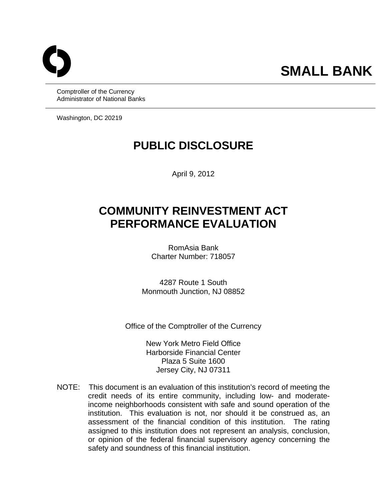# **SMALL BANK**

Comptroller of the Currency Administrator of National Banks

Washington, DC 20219

## **PUBLIC DISCLOSURE**

April 9, 2012

## **COMMUNITY REINVESTMENT ACT PERFORMANCE EVALUATION**

RomAsia Bank Charter Number: 718057

4287 Route 1 South Monmouth Junction, NJ 08852

Office of the Comptroller of the Currency

New York Metro Field Office Harborside Financial Center Plaza 5 Suite 1600 Jersey City, NJ 07311

 NOTE: This document is an evaluation of this institution's record of meeting the credit needs of its entire community, including low- and moderateincome neighborhoods consistent with safe and sound operation of the institution. This evaluation is not, nor should it be construed as, an assessment of the financial condition of this institution. The rating assigned to this institution does not represent an analysis, conclusion, or opinion of the federal financial supervisory agency concerning the safety and soundness of this financial institution.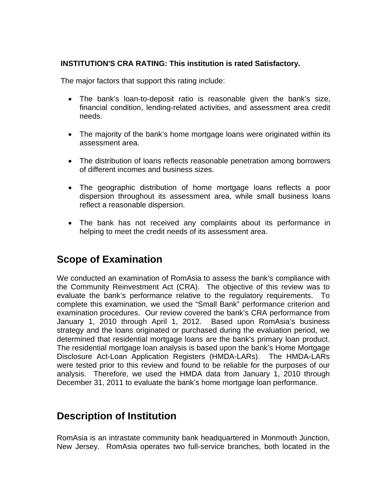#### **INSTITUTION'S CRA RATING: This institution is rated Satisfactory.**

The major factors that support this rating include:

- The bank's loan-to-deposit ratio is reasonable given the bank's size, financial condition, lending-related activities, and assessment area credit needs.
- The majority of the bank's home mortgage loans were originated within its assessment area.
- The distribution of loans reflects reasonable penetration among borrowers of different incomes and business sizes.
- The geographic distribution of home mortgage loans reflects a poor dispersion throughout its assessment area, while small business loans reflect a reasonable dispersion.
- The bank has not received any complaints about its performance in helping to meet the credit needs of its assessment area.

## **Scope of Examination**

We conducted an examination of RomAsia to assess the bank's compliance with the Community Reinvestment Act (CRA). The objective of this review was to evaluate the bank's performance relative to the regulatory requirements. To complete this examination, we used the "Small Bank" performance criterion and examination procedures. Our review covered the bank's CRA performance from January 1, 2010 through April 1, 2012. Based upon RomAsia's business strategy and the loans originated or purchased during the evaluation period, we determined that residential mortgage loans are the bank's primary loan product. The residential mortgage loan analysis is based upon the bank's Home Mortgage Disclosure Act-Loan Application Registers (HMDA-LARs). The HMDA-LARs were tested prior to this review and found to be reliable for the purposes of our analysis. Therefore, we used the HMDA data from January 1, 2010 through December 31, 2011 to evaluate the bank's home mortgage loan performance.

## **Description of Institution**

RomAsia is an intrastate community bank headquartered in Monmouth Junction, New Jersey. RomAsia operates two full-service branches, both located in the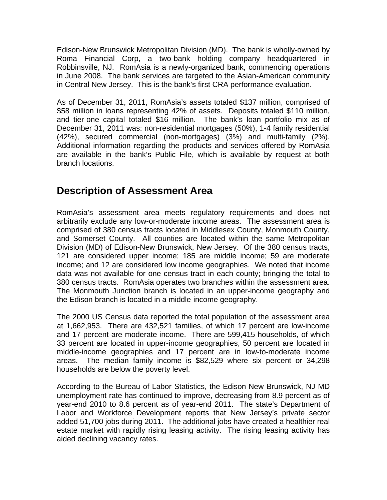Edison-New Brunswick Metropolitan Division (MD). The bank is wholly-owned by Roma Financial Corp, a two-bank holding company headquartered in Robbinsville, NJ. RomAsia is a newly-organized bank, commencing operations in June 2008. The bank services are targeted to the Asian-American community in Central New Jersey. This is the bank's first CRA performance evaluation.

As of December 31, 2011, RomAsia's assets totaled \$137 million, comprised of \$58 million in loans representing 42% of assets. Deposits totaled \$110 million, and tier-one capital totaled \$16 million. The bank's loan portfolio mix as of December 31, 2011 was: non-residential mortgages (50%), 1-4 family residential (42%), secured commercial (non-mortgages) (3%) and multi-family (2%). Additional information regarding the products and services offered by RomAsia are available in the bank's Public File, which is available by request at both branch locations.

## **Description of Assessment Area**

RomAsia's assessment area meets regulatory requirements and does not arbitrarily exclude any low-or-moderate income areas. The assessment area is comprised of 380 census tracts located in Middlesex County, Monmouth County, and Somerset County. All counties are located within the same Metropolitan Division (MD) of Edison-New Brunswick, New Jersey. Of the 380 census tracts, 121 are considered upper income; 185 are middle income; 59 are moderate income; and 12 are considered low income geographies. We noted that income data was not available for one census tract in each county; bringing the total to 380 census tracts. RomAsia operates two branches within the assessment area. The Monmouth Junction branch is located in an upper-income geography and the Edison branch is located in a middle-income geography.

The 2000 US Census data reported the total population of the assessment area at 1,662,953. There are 432,521 families, of which 17 percent are low-income and 17 percent are moderate-income. There are 599,415 households, of which 33 percent are located in upper-income geographies, 50 percent are located in middle-income geographies and 17 percent are in low-to-moderate income areas. The median family income is \$82,529 where six percent or 34,298 households are below the poverty level.

According to the Bureau of Labor Statistics, the Edison-New Brunswick, NJ MD unemployment rate has continued to improve, decreasing from 8.9 percent as of year-end 2010 to 8.6 percent as of year-end 2011. The state's Department of Labor and Workforce Development reports that New Jersey's private sector added 51,700 jobs during 2011. The additional jobs have created a healthier real estate market with rapidly rising leasing activity. The rising leasing activity has aided declining vacancy rates.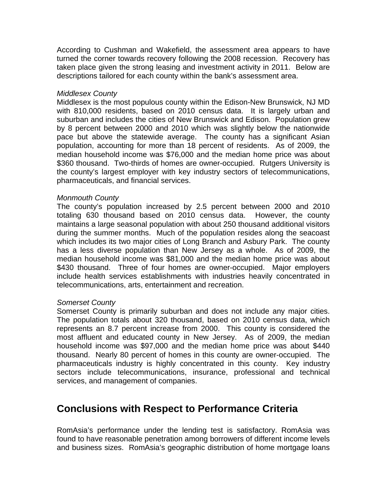According to Cushman and Wakefield, the assessment area appears to have turned the corner towards recovery following the 2008 recession. Recovery has taken place given the strong leasing and investment activity in 2011. Below are descriptions tailored for each county within the bank's assessment area.

#### *Middlesex County*

Middlesex is the most populous county within the Edison-New Brunswick, NJ MD with 810,000 residents, based on 2010 census data. It is largely urban and suburban and includes the cities of New Brunswick and Edison. Population grew by 8 percent between 2000 and 2010 which was slightly below the nationwide pace but above the statewide average. The county has a significant Asian population, accounting for more than 18 percent of residents. As of 2009, the median household income was \$76,000 and the median home price was about \$360 thousand. Two-thirds of homes are owner-occupied. Rutgers University is the county's largest employer with key industry sectors of telecommunications, pharmaceuticals, and financial services.

#### *Monmouth County*

The county's population increased by 2.5 percent between 2000 and 2010 totaling 630 thousand based on 2010 census data. However, the county maintains a large seasonal population with about 250 thousand additional visitors during the summer months. Much of the population resides along the seacoast which includes its two major cities of Long Branch and Asbury Park. The county has a less diverse population than New Jersey as a whole. As of 2009, the median household income was \$81,000 and the median home price was about \$430 thousand. Three of four homes are owner-occupied. Major employers include health services establishments with industries heavily concentrated in telecommunications, arts, entertainment and recreation.

#### *Somerset County*

Somerset County is primarily suburban and does not include any major cities. The population totals about 320 thousand, based on 2010 census data, which represents an 8.7 percent increase from 2000. This county is considered the most affluent and educated county in New Jersey. As of 2009, the median household income was \$97,000 and the median home price was about \$440 thousand. Nearly 80 percent of homes in this county are owner-occupied. The pharmaceuticals industry is highly concentrated in this county. Key industry sectors include telecommunications, insurance, professional and technical services, and management of companies.

## **Conclusions with Respect to Performance Criteria**

RomAsia's performance under the lending test is satisfactory. RomAsia was found to have reasonable penetration among borrowers of different income levels and business sizes. RomAsia's geographic distribution of home mortgage loans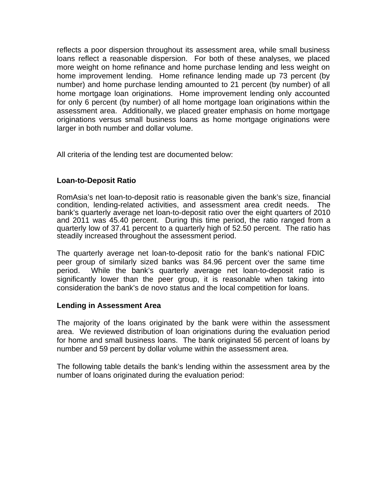reflects a poor dispersion throughout its assessment area, while small business loans reflect a reasonable dispersion. For both of these analyses, we placed more weight on home refinance and home purchase lending and less weight on home improvement lending. Home refinance lending made up 73 percent (by number) and home purchase lending amounted to 21 percent (by number) of all home mortgage loan originations. Home improvement lending only accounted for only 6 percent (by number) of all home mortgage loan originations within the assessment area. Additionally, we placed greater emphasis on home mortgage originations versus small business loans as home mortgage originations were larger in both number and dollar volume.

All criteria of the lending test are documented below:

#### **Loan-to-Deposit Ratio**

RomAsia's net loan-to-deposit ratio is reasonable given the bank's size, financial condition, lending-related activities, and assessment area credit needs. The bank's quarterly average net loan-to-deposit ratio over the eight quarters of 2010 and 2011 was 45.40 percent. During this time period, the ratio ranged from a quarterly low of 37.41 percent to a quarterly high of 52.50 percent. The ratio has steadily increased throughout the assessment period.

The quarterly average net loan-to-deposit ratio for the bank's national FDIC peer group of similarly sized banks was 84.96 percent over the same time period. While the bank's quarterly average net loan-to-deposit ratio is significantly lower than the peer group, it is reasonable when taking into consideration the bank's de novo status and the local competition for loans.

#### **Lending in Assessment Area**

The majority of the loans originated by the bank were within the assessment area. We reviewed distribution of loan originations during the evaluation period for home and small business loans. The bank originated 56 percent of loans by number and 59 percent by dollar volume within the assessment area.

 number of loans originated during the evaluation period: The following table details the bank's lending within the assessment area by the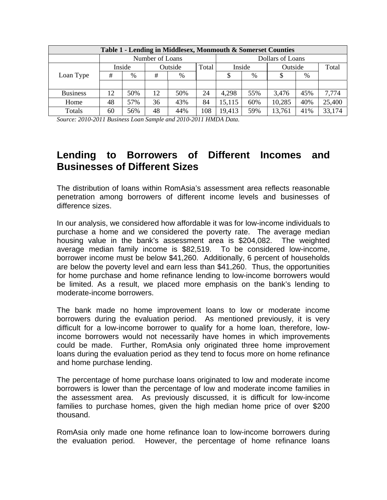| Table 1 - Lending in Middlesex, Monmouth & Somerset Counties |    |                            |                 |     |     |                  |        |        |         |        |
|--------------------------------------------------------------|----|----------------------------|-----------------|-----|-----|------------------|--------|--------|---------|--------|
|                                                              |    |                            | Number of Loans |     |     | Dollars of Loans |        |        |         |        |
|                                                              |    | Inside<br>Outside<br>Total |                 |     |     |                  | Inside |        | Outside |        |
| Loan Type                                                    | #  | $\frac{0}{0}$              | #               | %   |     | \$               | %      |        | $\%$    |        |
|                                                              |    |                            |                 |     |     |                  |        |        |         |        |
| <b>Business</b>                                              | 12 | 50%                        | 12              | 50% | 24  | 4,298            | 55%    | 3,476  | 45%     | 7,774  |
| Home                                                         | 48 | 57%                        | 36              | 43% | 84  | 15,115           | 60%    | 10,285 | 40%     | 25,400 |
| Totals                                                       | 60 | 56%                        | 48              | 44% | 108 | 19,413           | 59%    | 13,761 | 41%     | 33,174 |

*Source: 2010-2011 Business Loan Sample and 2010-2011 HMDA Data.* 

## **Lending to Borrowers of Different Incomes and Businesses of Different Sizes**

The distribution of loans within RomAsia's assessment area reflects reasonable penetration among borrowers of different income levels and businesses of difference sizes.

In our analysis, we considered how affordable it was for low-income individuals to purchase a home and we considered the poverty rate. The average median housing value in the bank's assessment area is \$204,082. The weighted average median family income is \$82,519. To be considered low-income, borrower income must be below \$41,260. Additionally, 6 percent of households are below the poverty level and earn less than \$41,260. Thus, the opportunities for home purchase and home refinance lending to low-income borrowers would be limited. As a result, we placed more emphasis on the bank's lending to moderate-income borrowers.

The bank made no home improvement loans to low or moderate income borrowers during the evaluation period. As mentioned previously, it is very difficult for a low-income borrower to qualify for a home loan, therefore, lowincome borrowers would not necessarily have homes in which improvements could be made. Further, RomAsia only originated three home improvement loans during the evaluation period as they tend to focus more on home refinance and home purchase lending.

The percentage of home purchase loans originated to low and moderate income borrowers is lower than the percentage of low and moderate income families in the assessment area. As previously discussed, it is difficult for low-income families to purchase homes, given the high median home price of over \$200 thousand.

RomAsia only made one home refinance loan to low-income borrowers during the evaluation period. However, the percentage of home refinance loans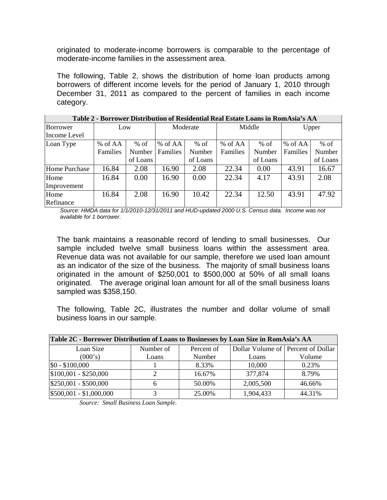originated to moderate-income borrowers is comparable to the percentage of moderate-income families in the assessment area.

The following, Table 2, shows the distribution of home loan products among borrowers of different income levels for the period of January 1, 2010 through December 31, 2011 as compared to the percent of families in each income category.

| Table 2 - Dolfower Distribution of Residential Real Estate Loans III Romasia S AA |          |        |          |          |          |          |          |          |  |  |  |
|-----------------------------------------------------------------------------------|----------|--------|----------|----------|----------|----------|----------|----------|--|--|--|
| Borrower                                                                          | Low      |        | Moderate |          | Middle   |          | Upper    |          |  |  |  |
| Income Level                                                                      |          |        |          |          |          |          |          |          |  |  |  |
| Loan Type                                                                         | % of AA  | $%$ of | % of AA  | $%$ of   | % of AA  | $%$ of   | % of AA  | $%$ of   |  |  |  |
|                                                                                   | Families | Number | Families | Number   | Families | Number   | Families | Number   |  |  |  |
|                                                                                   | of Loans |        |          | of Loans |          | of Loans |          | of Loans |  |  |  |
| Home Purchase                                                                     | 16.84    | 2.08   | 16.90    | 2.08     | 22.34    | 0.00     | 43.91    | 16.67    |  |  |  |
| Home                                                                              | 16.84    | 0.00   | 16.90    | 0.00     | 22.34    | 4.17     | 43.91    | 2.08     |  |  |  |
| Improvement                                                                       |          |        |          |          |          |          |          |          |  |  |  |
| Home                                                                              | 16.84    | 2.08   | 16.90    | 10.42    | 22.34    | 12.50    | 43.91    | 47.92    |  |  |  |
| Refinance                                                                         |          |        |          |          |          |          |          |          |  |  |  |

| Table 2 - Borrower Distribution of Residential Real Estate Loans in RomAsia's AA |  |
|----------------------------------------------------------------------------------|--|

*Source: HMDA data for 1/1/2010-12/31/2011 and HUD-updated 2000 U.S. Census data. Income was not available for 1 borrower.* 

sample included twelve small business loans within the assessment area. The bank maintains a reasonable record of lending to small businesses. Our Revenue data was not available for our sample, therefore we used loan amount as an indicator of the size of the business. The majority of small business loans originated in the amount of \$250,001 to \$500,000 at 50% of all small loans originated. The average original loan amount for all of the small business loans sampled was \$358,150.

The following, Table 2C, illustrates the number and dollar volume of small business loans in our sample.

| Table 2C - Borrower Distribution of Loans to Businesses by Loan Size in RomAsia's AA |           |            |                                    |        |  |  |  |  |  |
|--------------------------------------------------------------------------------------|-----------|------------|------------------------------------|--------|--|--|--|--|--|
| Loan Size                                                                            | Number of | Percent of | Dollar Volume of Percent of Dollar |        |  |  |  |  |  |
| (000's)                                                                              | Loans     | Number     | Loans                              | Volume |  |  |  |  |  |
| $$0 - $100,000$                                                                      |           | 8.33%      | 10,000                             | 0.23%  |  |  |  |  |  |
| $$100,001 - $250,000$                                                                |           | 16.67%     | 377,874                            | 8.79%  |  |  |  |  |  |
| $$250,001 - $500,000$                                                                | 6         | 50.00%     | 2,005,500                          | 46.66% |  |  |  |  |  |
| $$500,001 - $1,000,000$                                                              |           | 25.00%     | 1,904,433                          | 44.31% |  |  |  |  |  |

*Source: Small Business Loan Sample.*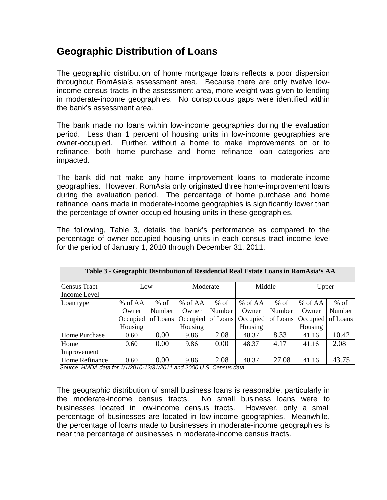## **Geographic Distribution of Loans**

The geographic distribution of home mortgage loans reflects a poor dispersion throughout RomAsia's assessment area. Because there are only twelve lowincome census tracts in the assessment area, more weight was given to lending in moderate-income geographies. No conspicuous gaps were identified within the bank's assessment area.

The bank made no loans within low-income geographies during the evaluation period. Less than 1 percent of housing units in low-income geographies are owner-occupied. Further, without a home to make improvements on or to refinance, both home purchase and home refinance loan categories are impacted.

The bank did not make any home improvement loans to moderate-income geographies. However, RomAsia only originated three home-improvement loans during the evaluation period. The percentage of home purchase and home refinance loans made in moderate-income geographies is significantly lower than the percentage of owner-occupied housing units in these geographies.

The following, Table 3, details the bank's performance as compared to the percentage of owner-occupied housing units in each census tract income level for the period of January 1, 2010 through December 31, 2011.

| Table 3 - Geographic Distribution of Residential Real Estate Loans in RomAsia's AA |                                         |                              |                                                    |                  |                                         |                              |                                           |                              |  |  |
|------------------------------------------------------------------------------------|-----------------------------------------|------------------------------|----------------------------------------------------|------------------|-----------------------------------------|------------------------------|-------------------------------------------|------------------------------|--|--|
| Census Tract<br>Income Level                                                       | Low                                     |                              | Moderate                                           |                  | Middle                                  |                              | Upper                                     |                              |  |  |
| Loan type                                                                          | % of AA<br>Owner<br>Occupied<br>Housing | $%$ of<br>Number<br>of Loans | $%$ of AA<br>Owner<br>Occupied of Loans<br>Housing | $%$ of<br>Number | % of AA<br>Owner<br>Occupied<br>Housing | $%$ of<br>Number<br>of Loans | % of $AA$<br>Owner<br>Occupied<br>Housing | $%$ of<br>Number<br>of Loans |  |  |
| Home Purchase                                                                      | 0.60                                    | 0.00                         | 9.86                                               | 2.08             | 48.37                                   | 8.33                         | 41.16                                     | 10.42                        |  |  |
| Home<br>Improvement                                                                | 0.60                                    | 0.00                         | 9.86                                               | 0.00             | 48.37                                   | 4.17                         | 41.16                                     | 2.08                         |  |  |
| Home Refinance                                                                     | 0.60                                    | 0.00                         | 9.86                                               | 2.08             | 48.37                                   | 27.08                        | 41.16                                     | 43.75                        |  |  |

*Source: HMDA data for 1/1/2010-12/31/2011 and 2000 U.S. Census data.* 

The geographic distribution of small business loans is reasonable, particularly in the moderate-income census tracts. No small business loans were to businesses located in low-income census tracts. However, only a small percentage of businesses are located in low-income geographies. Meanwhile, the percentage of loans made to businesses in moderate-income geographies is near the percentage of businesses in moderate-income census tracts.